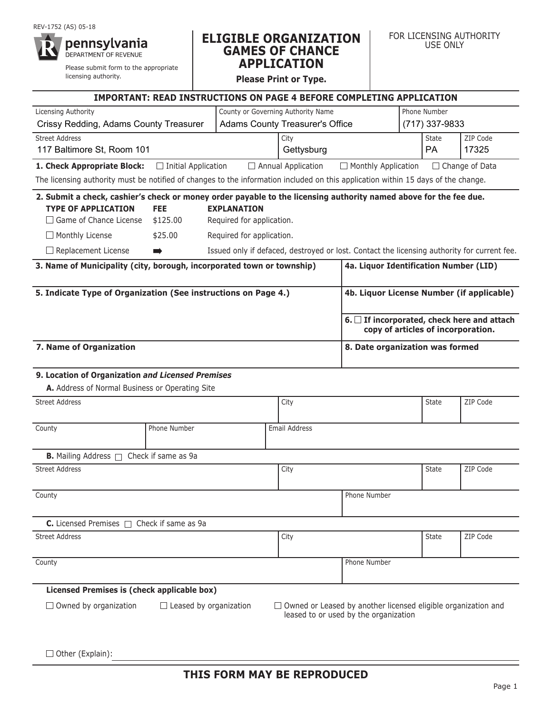#### reV-1752 (AS) 05-18



Please submit form to the appropriate licensing authority.

## **ELIGIBLE ORGANIZATION GAMES OF CHANCE APPLICATION**

**Please Print or Type.**

|                                                                                                                                   | <b>IMPORTANT: READ INSTRUCTIONS ON PAGE 4 BEFORE COMPLETING APPLICATION</b>                      |                           |                                        |                                                                                                               |                                    |                                           |  |  |
|-----------------------------------------------------------------------------------------------------------------------------------|--------------------------------------------------------------------------------------------------|---------------------------|----------------------------------------|---------------------------------------------------------------------------------------------------------------|------------------------------------|-------------------------------------------|--|--|
| Licensing Authority                                                                                                               | County or Governing Authority Name                                                               | Phone Number              |                                        |                                                                                                               |                                    |                                           |  |  |
| Crissy Redding, Adams County Treasurer                                                                                            |                                                                                                  |                           | <b>Adams County Treasurer's Office</b> |                                                                                                               | (717) 337-9833                     |                                           |  |  |
| <b>Street Address</b><br>117 Baltimore St, Room 101                                                                               |                                                                                                  |                           | City<br>Gettysburg                     |                                                                                                               | <b>State</b><br><b>PA</b>          | ZIP Code<br>17325                         |  |  |
| 1. Check Appropriate Block:                                                                                                       | $\Box$ Initial Application                                                                       |                           | $\Box$ Annual Application              | $\Box$ Monthly Application                                                                                    |                                    | $\Box$ Change of Data                     |  |  |
| The licensing authority must be notified of changes to the information included on this application within 15 days of the change. |                                                                                                  |                           |                                        |                                                                                                               |                                    |                                           |  |  |
| 2. Submit a check, cashier's check or money order payable to the licensing authority named above for the fee due.                 |                                                                                                  |                           |                                        |                                                                                                               |                                    |                                           |  |  |
| <b>TYPE OF APPLICATION</b>                                                                                                        | <b>FEE</b>                                                                                       | <b>EXPLANATION</b>        |                                        |                                                                                                               |                                    |                                           |  |  |
| $\Box$ Game of Chance License                                                                                                     | \$125.00                                                                                         | Required for application. |                                        |                                                                                                               |                                    |                                           |  |  |
| $\Box$ Monthly License                                                                                                            | \$25.00                                                                                          | Required for application. |                                        |                                                                                                               |                                    |                                           |  |  |
| $\Box$ Replacement License                                                                                                        | Issued only if defaced, destroyed or lost. Contact the licensing authority for current fee.<br>D |                           |                                        |                                                                                                               |                                    |                                           |  |  |
| 3. Name of Municipality (city, borough, incorporated town or township)                                                            | 4a. Liquor Identification Number (LID)                                                           |                           |                                        |                                                                                                               |                                    |                                           |  |  |
| 5. Indicate Type of Organization (See instructions on Page 4.)                                                                    |                                                                                                  |                           |                                        |                                                                                                               |                                    | 4b. Liquor License Number (if applicable) |  |  |
|                                                                                                                                   |                                                                                                  |                           |                                        |                                                                                                               | copy of articles of incorporation. | 6. If incorporated, check here and attach |  |  |
| 7. Name of Organization                                                                                                           |                                                                                                  |                           |                                        | 8. Date organization was formed                                                                               |                                    |                                           |  |  |
| 9. Location of Organization and Licensed Premises                                                                                 |                                                                                                  |                           |                                        |                                                                                                               |                                    |                                           |  |  |
| A. Address of Normal Business or Operating Site                                                                                   |                                                                                                  |                           |                                        |                                                                                                               |                                    |                                           |  |  |
| <b>Street Address</b>                                                                                                             |                                                                                                  |                           | City                                   |                                                                                                               | <b>State</b>                       | ZIP Code                                  |  |  |
| County                                                                                                                            | Phone Number                                                                                     |                           | Email Address                          |                                                                                                               |                                    |                                           |  |  |
| <b>B.</b> Mailing Address $\Box$                                                                                                  | Check if same as 9a                                                                              |                           |                                        |                                                                                                               |                                    |                                           |  |  |
| <b>Street Address</b>                                                                                                             |                                                                                                  |                           | City                                   |                                                                                                               | <b>State</b>                       | ZIP Code                                  |  |  |
| County                                                                                                                            |                                                                                                  |                           |                                        | Phone Number                                                                                                  |                                    |                                           |  |  |
| <b>C.</b> Licensed Premises $\Box$ Check if same as 9a                                                                            |                                                                                                  |                           |                                        |                                                                                                               |                                    |                                           |  |  |
| <b>Street Address</b>                                                                                                             |                                                                                                  |                           | City                                   |                                                                                                               | <b>State</b>                       | ZIP Code                                  |  |  |
| County                                                                                                                            |                                                                                                  |                           |                                        | Phone Number                                                                                                  |                                    |                                           |  |  |
| Licensed Premises is (check applicable box)                                                                                       |                                                                                                  |                           |                                        |                                                                                                               |                                    |                                           |  |  |
| $\Box$ Owned by organization                                                                                                      | $\Box$ Leased by organization                                                                    |                           |                                        | $\Box$ Owned or Leased by another licensed eligible organization and<br>leased to or used by the organization |                                    |                                           |  |  |

 $\Box$  Other (Explain):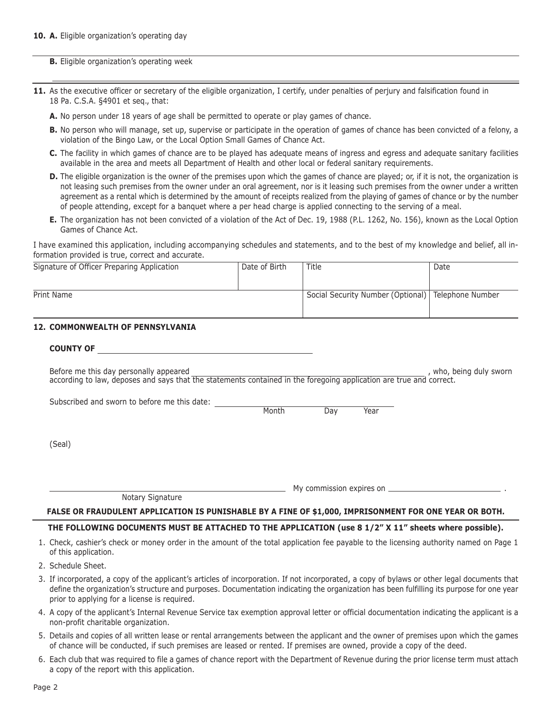**B.** Eligible organization's operating week

- **11.** As the executive officer or secretary of the eligible organization, I certify, under penalties of perjury and falsification found in 18 Pa. C.S.A. §4901 et seq., that:
	- **A.** No person under 18 years of age shall be permitted to operate or play games of chance.
	- **B.** No person who will manage, set up, supervise or participate in the operation of games of chance has been convicted of a felony, a violation of the Bingo Law, or the Local option Small games of Chance Act.
	- **C.** the facility in which games of chance are to be played has adequate means of ingress and egress and adequate sanitary facilities available in the area and meets all Department of health and other local or federal sanitary requirements.
	- **D.** The eligible organization is the owner of the premises upon which the games of chance are played; or, if it is not, the organization is not leasing such premises from the owner under an oral agreement, nor is it leasing such premises from the owner under a written agreement as a rental which is determined by the amount of receipts realized from the playing of games of chance or by the number of people attending, except for a banquet where a per head charge is applied connecting to the serving of a meal.
	- **E.** the organization has not been convicted of a violation of the Act of Dec. 19, 1988 (P.L. 1262, No. 156), known as the Local option Games of Chance Act.

I have examined this application, including accompanying schedules and statements, and to the best of my knowledge and belief, all information provided is true, correct and accurate.

| Signature of Officer Preparing Application | Date of Birth | Title                                                | Date |
|--------------------------------------------|---------------|------------------------------------------------------|------|
|                                            |               |                                                      |      |
|                                            |               |                                                      |      |
| Print Name                                 |               | Social Security Number (Optional)   Telephone Number |      |
|                                            |               |                                                      |      |
|                                            |               |                                                      |      |

## **12. COMMONWEALTH OF PENNSYLVANIA**

#### **COUNTY OF**

Before me this day personally appeared and the state of the state of the state of the state of the state of the state of the state of the state of the state of the state of the state of the state of the state of the state according to law, deposes and says that the statements contained in the foregoing application are true and correct.

Subscribed and sworn to before me this date:

month and Day Year (2012). A Month Day Sear

(Seal)

My commission expires on .

Notary Signature

#### **FALSE OR FRAUDULENT APPLICATION IS PUNISHABLE BY A FINE OF \$1,000, IMPRISONMENT FOR ONE YEAR OR BOTH.**

### **THE FOLLOWING DOCUMENTS MUST BE ATTACHED TO THE APPLICATION (use 8 1/2" X 11" sheets where possible).**

- 1. Check, cashier's check or money order in the amount of the total application fee payable to the licensing authority named on Page 1 of this application.
- 2. Schedule Sheet.
- 3. If incorporated, a copy of the applicant's articles of incorporation. If not incorporated, a copy of bylaws or other legal documents that define the organization's structure and purposes. Documentation indicating the organization has been fulfilling its purpose for one year prior to applying for a license is required.
- 4. A copy of the applicant's Internal Revenue Service tax exemption approval letter or official documentation indicating the applicant is a non-profit charitable organization.
- 5. Details and copies of all written lease or rental arrangements between the applicant and the owner of premises upon which the games of chance will be conducted, if such premises are leased or rented. If premises are owned, provide a copy of the deed.
- 6. each club that was required to file a games of chance report with the Department of revenue during the prior license term must attach a copy of the report with this application.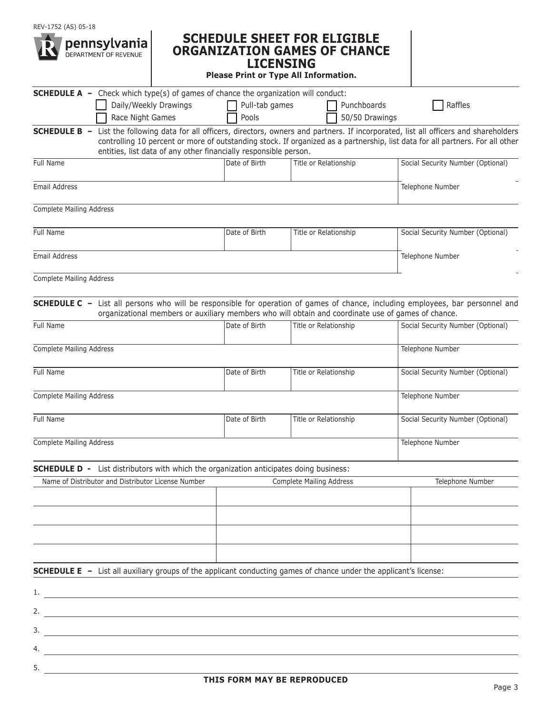

## **SCHEDULE SHEET FOR ELIGIBLE ORGANIZATION GAMES OF CHANCE LICENSING**

**Please Print or Type All Information.**

| <b>SCHEDULE A</b> - Check which type(s) of games of chance the organization will conduct:                                                                                                                                                                                                                                                                 |                                        |                          |                |                                   |  |
|-----------------------------------------------------------------------------------------------------------------------------------------------------------------------------------------------------------------------------------------------------------------------------------------------------------------------------------------------------------|----------------------------------------|--------------------------|----------------|-----------------------------------|--|
| Daily/Weekly Drawings                                                                                                                                                                                                                                                                                                                                     | Pull-tab games                         |                          | Punchboards    | Raffles                           |  |
| Race Night Games                                                                                                                                                                                                                                                                                                                                          | Pools                                  |                          | 50/50 Drawings |                                   |  |
| List the following data for all officers, directors, owners and partners. If incorporated, list all officers and shareholders<br><b>SCHEDULE B -</b><br>controlling 10 percent or more of outstanding stock. If organized as a partnership, list data for all partners. For all other<br>entities, list data of any other financially responsible person. |                                        |                          |                |                                   |  |
| Full Name                                                                                                                                                                                                                                                                                                                                                 | Date of Birth<br>Title or Relationship |                          |                | Social Security Number (Optional) |  |
| Email Address                                                                                                                                                                                                                                                                                                                                             |                                        |                          |                | Telephone Number                  |  |
| <b>Complete Mailing Address</b>                                                                                                                                                                                                                                                                                                                           |                                        |                          |                |                                   |  |
| Full Name                                                                                                                                                                                                                                                                                                                                                 | Date of Birth                          | Title or Relationship    |                | Social Security Number (Optional) |  |
| Email Address                                                                                                                                                                                                                                                                                                                                             |                                        | Telephone Number         |                |                                   |  |
| <b>Complete Mailing Address</b>                                                                                                                                                                                                                                                                                                                           |                                        |                          |                |                                   |  |
| <b>SCHEDULE C</b> - List all persons who will be responsible for operation of games of chance, including employees, bar personnel and<br>organizational members or auxiliary members who will obtain and coordinate use of games of chance.                                                                                                               |                                        |                          |                |                                   |  |
| Full Name                                                                                                                                                                                                                                                                                                                                                 | Date of Birth                          | Title or Relationship    |                | Social Security Number (Optional) |  |
| <b>Complete Mailing Address</b>                                                                                                                                                                                                                                                                                                                           |                                        |                          |                | Telephone Number                  |  |
| Full Name                                                                                                                                                                                                                                                                                                                                                 | Date of Birth                          | Title or Relationship    |                | Social Security Number (Optional) |  |
| <b>Complete Mailing Address</b>                                                                                                                                                                                                                                                                                                                           |                                        |                          |                | Telephone Number                  |  |
| Full Name                                                                                                                                                                                                                                                                                                                                                 | Date of Birth                          | Title or Relationship    |                | Social Security Number (Optional) |  |
| Complete Mailing Address                                                                                                                                                                                                                                                                                                                                  |                                        |                          |                | Telephone Number                  |  |
| <b>SCHEDULE D -</b> List distributors with which the organization anticipates doing business:                                                                                                                                                                                                                                                             |                                        |                          |                |                                   |  |
| Name of Distributor and Distributor License Number                                                                                                                                                                                                                                                                                                        |                                        | Complete Mailing Address |                | Telephone Number                  |  |
|                                                                                                                                                                                                                                                                                                                                                           |                                        |                          |                |                                   |  |
|                                                                                                                                                                                                                                                                                                                                                           |                                        |                          |                |                                   |  |
|                                                                                                                                                                                                                                                                                                                                                           |                                        |                          |                |                                   |  |
| <b>SCHEDULE E</b> - List all auxiliary groups of the applicant conducting games of chance under the applicant's license:                                                                                                                                                                                                                                  |                                        |                          |                |                                   |  |
| 1.<br><u> 1989 - Johann Stoff, deutscher Stoffen und der Stoffen und der Stoffen und der Stoffen und der Stoffen und der</u>                                                                                                                                                                                                                              |                                        |                          |                |                                   |  |
| 2.                                                                                                                                                                                                                                                                                                                                                        |                                        |                          |                |                                   |  |
| 3.                                                                                                                                                                                                                                                                                                                                                        |                                        |                          |                |                                   |  |
| 4.                                                                                                                                                                                                                                                                                                                                                        |                                        |                          |                |                                   |  |
| 5.                                                                                                                                                                                                                                                                                                                                                        |                                        |                          |                |                                   |  |